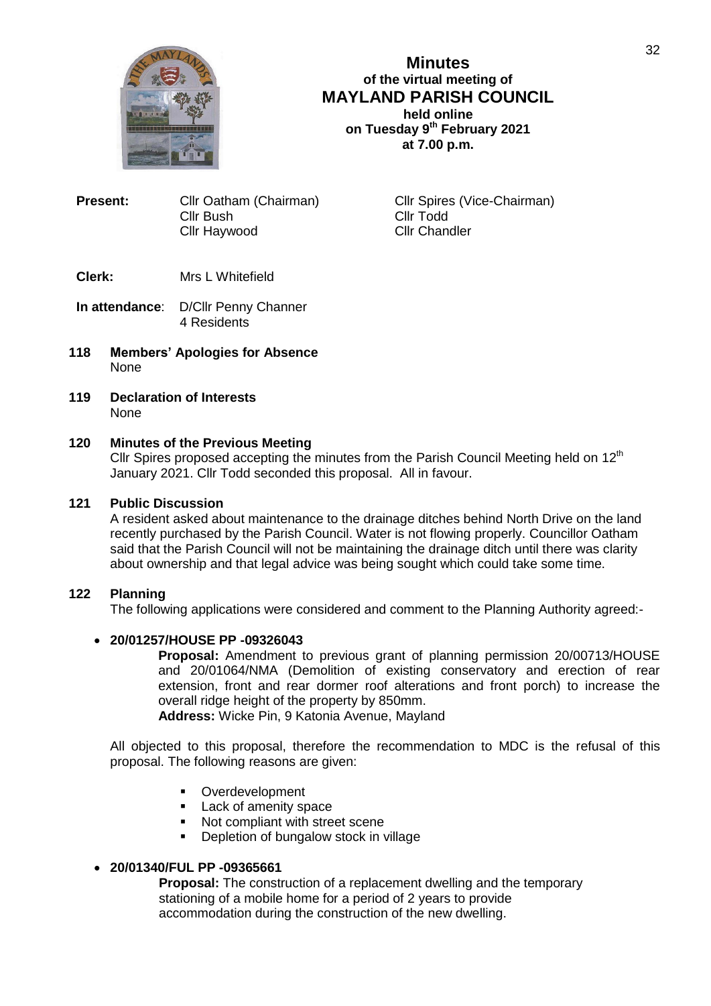

**Minutes of the virtual meeting of MAYLAND PARISH COUNCIL held online on Tuesday 9th February 2021 at 7.00 p.m.**

| <b>Present:</b> | Cllr Oatham (Chairman) |
|-----------------|------------------------|
|                 | Cllr Bush              |
|                 | Cllr Haywood           |

**Cllr Spires (Vice-Chairman)** Cllr Todd Cllr Chandler

# **Clerk:** Mrs L Whitefield

- **In attendance**: D/Cllr Penny Channer 4 Residents
- **118 Members' Apologies for Absence** None
- **119 Declaration of Interests** None

## **120 Minutes of the Previous Meeting**

Cllr Spires proposed accepting the minutes from the Parish Council Meeting held on  $12<sup>th</sup>$ January 2021. Cllr Todd seconded this proposal. All in favour.

## **121 Public Discussion**

A resident asked about maintenance to the drainage ditches behind North Drive on the land recently purchased by the Parish Council. Water is not flowing properly. Councillor Oatham said that the Parish Council will not be maintaining the drainage ditch until there was clarity about ownership and that legal advice was being sought which could take some time.

# **122 Planning**

The following applications were considered and comment to the Planning Authority agreed:-

# **20/01257/HOUSE PP -09326043**

**Proposal:** Amendment to previous grant of planning permission 20/00713/HOUSE and 20/01064/NMA (Demolition of existing conservatory and erection of rear extension, front and rear dormer roof alterations and front porch) to increase the overall ridge height of the property by 850mm.

**Address:** Wicke Pin, 9 Katonia Avenue, Mayland

All objected to this proposal, therefore the recommendation to MDC is the refusal of this proposal. The following reasons are given:

- **•** Overdevelopment
- **Lack of amenity space**
- Not compliant with street scene
- **•** Depletion of bungalow stock in village

# **20/01340/FUL PP -09365661**

**Proposal:** The construction of a replacement dwelling and the temporary stationing of a mobile home for a period of 2 years to provide accommodation during the construction of the new dwelling.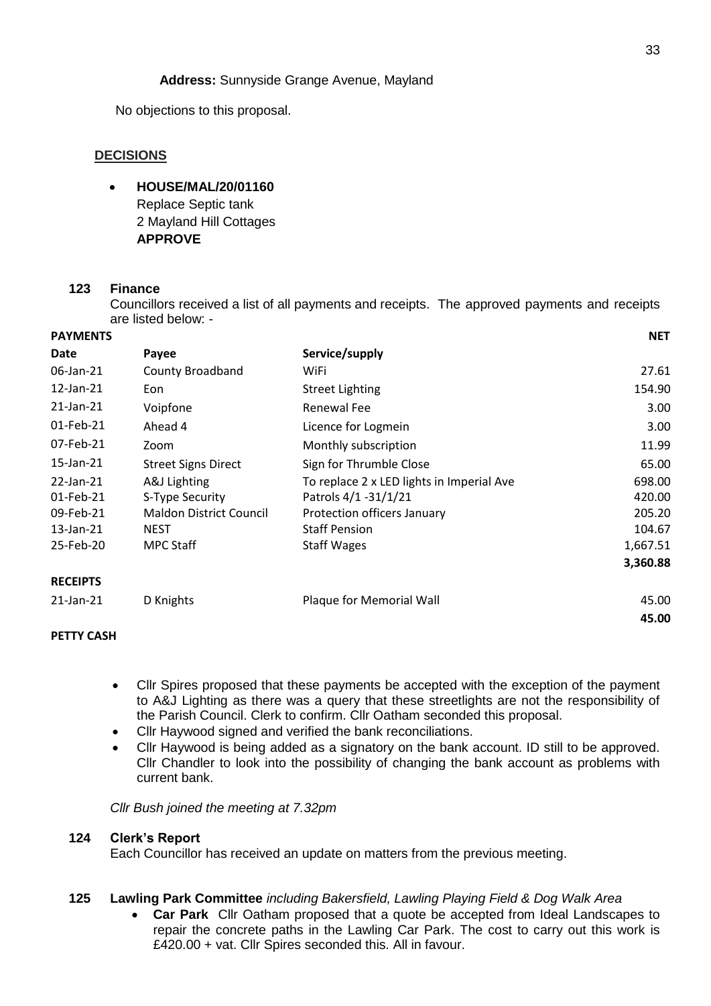# **Address:** Sunnyside Grange Avenue, Mayland

No objections to this proposal.

## **DECISIONS**

 **HOUSE/MAL/20/01160** Replace Septic tank 2 Mayland Hill Cottages **APPROVE**

## **123 Finance**

Councillors received a list of all payments and receipts. The approved payments and receipts are listed below: -

| <b>PAYMENTS</b> |                                |                                           | <b>NET</b> |
|-----------------|--------------------------------|-------------------------------------------|------------|
| Date            | Payee                          | Service/supply                            |            |
| 06-Jan-21       | County Broadband               | WiFi                                      | 27.61      |
| $12$ -Jan- $21$ | Eon                            | <b>Street Lighting</b>                    | 154.90     |
| 21-Jan-21       | Voipfone                       | Renewal Fee                               | 3.00       |
| 01-Feb-21       | Ahead 4                        | Licence for Logmein                       | 3.00       |
| 07-Feb-21       | Zoom                           | Monthly subscription                      | 11.99      |
| 15-Jan-21       | <b>Street Signs Direct</b>     | Sign for Thrumble Close                   | 65.00      |
| 22-Jan-21       | A&J Lighting                   | To replace 2 x LED lights in Imperial Ave | 698.00     |
| 01-Feb-21       | S-Type Security                | Patrols 4/1 -31/1/21                      | 420.00     |
| 09-Feb-21       | <b>Maldon District Council</b> | Protection officers January               | 205.20     |
| $13$ -Jan- $21$ | <b>NEST</b>                    | <b>Staff Pension</b>                      | 104.67     |
| 25-Feb-20       | <b>MPC Staff</b>               | <b>Staff Wages</b>                        | 1,667.51   |
|                 |                                |                                           | 3,360.88   |
| <b>RECEIPTS</b> |                                |                                           |            |
| 21-Jan-21       | D Knights                      | Plaque for Memorial Wall                  | 45.00      |
|                 |                                |                                           | 45.00      |

# **PETTY CASH**

- Cllr Spires proposed that these payments be accepted with the exception of the payment to A&J Lighting as there was a query that these streetlights are not the responsibility of the Parish Council. Clerk to confirm. Cllr Oatham seconded this proposal.
- Cllr Haywood signed and verified the bank reconciliations.
- Cllr Haywood is being added as a signatory on the bank account. ID still to be approved. Cllr Chandler to look into the possibility of changing the bank account as problems with current bank.

*Cllr Bush joined the meeting at 7.32pm*

### **124 Clerk's Report**

Each Councillor has received an update on matters from the previous meeting.

### **125 Lawling Park Committee** *including Bakersfield, Lawling Playing Field & Dog Walk Area*

 **Car Park** Cllr Oatham proposed that a quote be accepted from Ideal Landscapes to repair the concrete paths in the Lawling Car Park. The cost to carry out this work is £420.00 + vat. Cllr Spires seconded this. All in favour.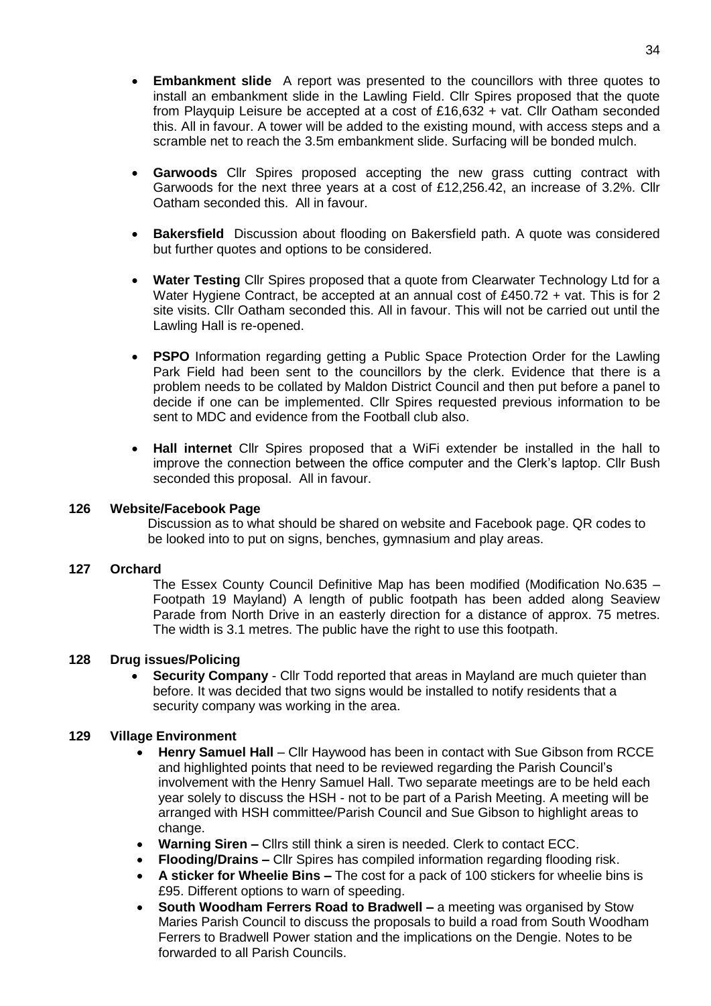- **Embankment slide** A report was presented to the councillors with three quotes to install an embankment slide in the Lawling Field. Cllr Spires proposed that the quote from Playquip Leisure be accepted at a cost of £16,632 + vat. Cllr Oatham seconded this. All in favour. A tower will be added to the existing mound, with access steps and a scramble net to reach the 3.5m embankment slide. Surfacing will be bonded mulch.
- **Garwoods** Cllr Spires proposed accepting the new grass cutting contract with Garwoods for the next three years at a cost of £12,256.42, an increase of 3.2%. Cllr Oatham seconded this. All in favour.
- **Bakersfield** Discussion about flooding on Bakersfield path. A quote was considered but further quotes and options to be considered.
- **Water Testing** Cllr Spires proposed that a quote from Clearwater Technology Ltd for a Water Hygiene Contract, be accepted at an annual cost of £450.72 + vat. This is for 2 site visits. Cllr Oatham seconded this. All in favour. This will not be carried out until the Lawling Hall is re-opened.
- **PSPO** Information regarding getting a Public Space Protection Order for the Lawling Park Field had been sent to the councillors by the clerk. Evidence that there is a problem needs to be collated by Maldon District Council and then put before a panel to decide if one can be implemented. Cllr Spires requested previous information to be sent to MDC and evidence from the Football club also.
- **Hall internet** Cllr Spires proposed that a WiFi extender be installed in the hall to improve the connection between the office computer and the Clerk's laptop. Cllr Bush seconded this proposal. All in favour.

### **126 Website/Facebook Page**

Discussion as to what should be shared on website and Facebook page. QR codes to be looked into to put on signs, benches, gymnasium and play areas.

# **127 Orchard**

The Essex County Council Definitive Map has been modified (Modification No.635 – Footpath 19 Mayland) A length of public footpath has been added along Seaview Parade from North Drive in an easterly direction for a distance of approx. 75 metres. The width is 3.1 metres. The public have the right to use this footpath.

# **128 Drug issues/Policing**

**Security Company** - Cllr Todd reported that areas in Mayland are much quieter than before. It was decided that two signs would be installed to notify residents that a security company was working in the area.

# **129 Village Environment**

- **Henry Samuel Hall** Cllr Haywood has been in contact with Sue Gibson from RCCE and highlighted points that need to be reviewed regarding the Parish Council's involvement with the Henry Samuel Hall. Two separate meetings are to be held each year solely to discuss the HSH - not to be part of a Parish Meeting. A meeting will be arranged with HSH committee/Parish Council and Sue Gibson to highlight areas to change.
- **Warning Siren –** Cllrs still think a siren is needed. Clerk to contact ECC.
- **Flooding/Drains –** Cllr Spires has compiled information regarding flooding risk.
- **A sticker for Wheelie Bins –** The cost for a pack of 100 stickers for wheelie bins is £95. Different options to warn of speeding.
- **South Woodham Ferrers Road to Bradwell –** a meeting was organised by Stow Maries Parish Council to discuss the proposals to build a road from South Woodham Ferrers to Bradwell Power station and the implications on the Dengie. Notes to be forwarded to all Parish Councils.